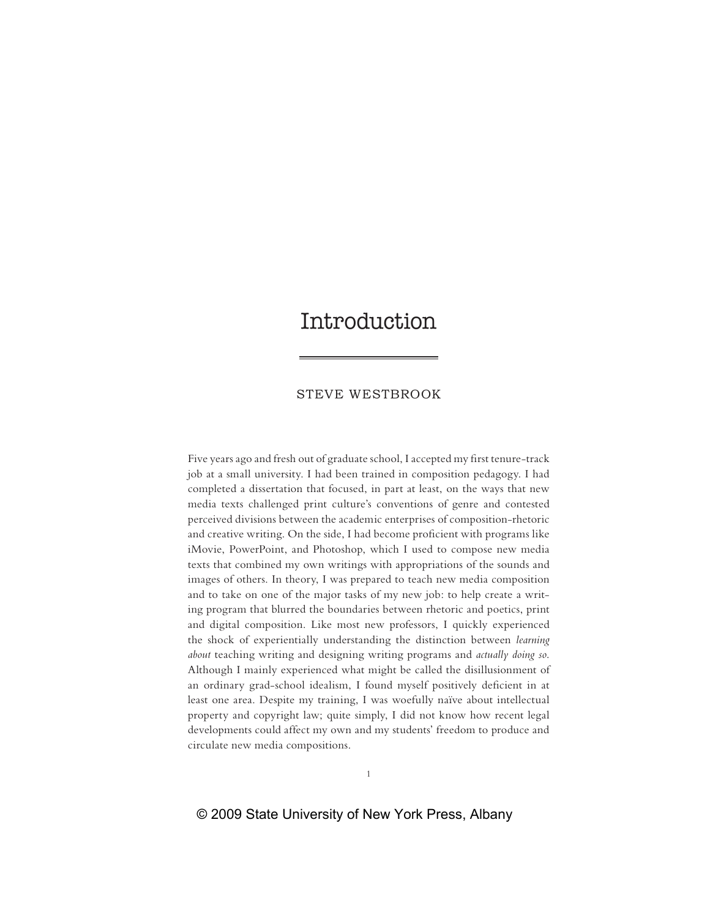# Introduction

### STEVE WESTBROOK

Five years ago and fresh out of graduate school, I accepted my first tenure-track job at a small university. I had been trained in composition pedagogy. I had completed a dissertation that focused, in part at least, on the ways that new media texts challenged print culture's conventions of genre and contested perceived divisions between the academic enterprises of composition-rhetoric and creative writing. On the side, I had become proficient with programs like iMovie, PowerPoint, and Photoshop, which I used to compose new media texts that combined my own writings with appropriations of the sounds and images of others. In theory, I was prepared to teach new media composition and to take on one of the major tasks of my new job: to help create a writing program that blurred the boundaries between rhetoric and poetics, print and digital composition. Like most new professors, I quickly experienced the shock of experientially understanding the distinction between *learning about* teaching writing and designing writing programs and *actually doing so*. Although I mainly experienced what might be called the disillusionment of an ordinary grad-school idealism, I found myself positively deficient in at least one area. Despite my training, I was woefully naïve about intellectual property and copyright law; quite simply, I did not know how recent legal developments could affect my own and my students' freedom to produce and circulate new media compositions.

## © 2009 State University of New York Press, Albany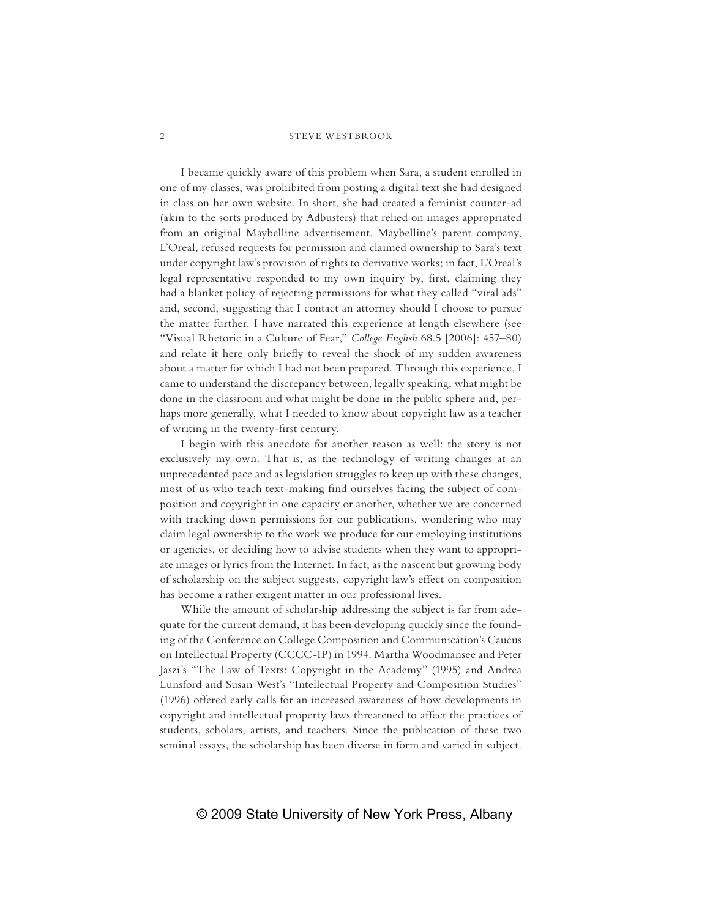#### 2 STEVE WESTBROOK

I became quickly aware of this problem when Sara, a student enrolled in one of my classes, was prohibited from posting a digital text she had designed in class on her own website. In short, she had created a feminist counter-ad (akin to the sorts produced by Adbusters) that relied on images appropriated from an original Maybelline advertisement. Maybelline's parent company, L'Oreal, refused requests for permission and claimed ownership to Sara's text under copyright law's provision of rights to derivative works; in fact, L'Oreal's legal representative responded to my own inquiry by, first, claiming they had a blanket policy of rejecting permissions for what they called "viral ads" and, second, suggesting that I contact an attorney should I choose to pursue the matter further. I have narrated this experience at length elsewhere (see "Visual Rhetoric in a Culture of Fear," *College English* 68.5 [2006]: 457–80) and relate it here only briefly to reveal the shock of my sudden awareness about a matter for which I had not been prepared. Through this experience, I came to understand the discrepancy between, legally speaking, what might be done in the classroom and what might be done in the public sphere and, perhaps more generally, what I needed to know about copyright law as a teacher of writing in the twenty-first century.

I begin with this anecdote for another reason as well: the story is not exclusively my own. That is, as the technology of writing changes at an unprecedented pace and as legislation struggles to keep up with these changes, most of us who teach text-making find ourselves facing the subject of composition and copyright in one capacity or another, whether we are concerned with tracking down permissions for our publications, wondering who may claim legal ownership to the work we produce for our employing institutions or agencies, or deciding how to advise students when they want to appropriate images or lyrics from the Internet. In fact, as the nascent but growing body of scholarship on the subject suggests, copyright law's effect on composition has become a rather exigent matter in our professional lives.

While the amount of scholarship addressing the subject is far from adequate for the current demand, it has been developing quickly since the founding of the Conference on College Composition and Communication's Caucus on Intellectual Property (CCCC-IP) in 1994. Martha Woodmansee and Peter Jaszi's "The Law of Texts: Copyright in the Academy" (1995) and Andrea Lunsford and Susan West's "Intellectual Property and Composition Studies" (1996) offered early calls for an increased awareness of how developments in copyright and intellectual property laws threatened to affect the practices of students, scholars, artists, and teachers. Since the publication of these two seminal essays, the scholarship has been diverse in form and varied in subject.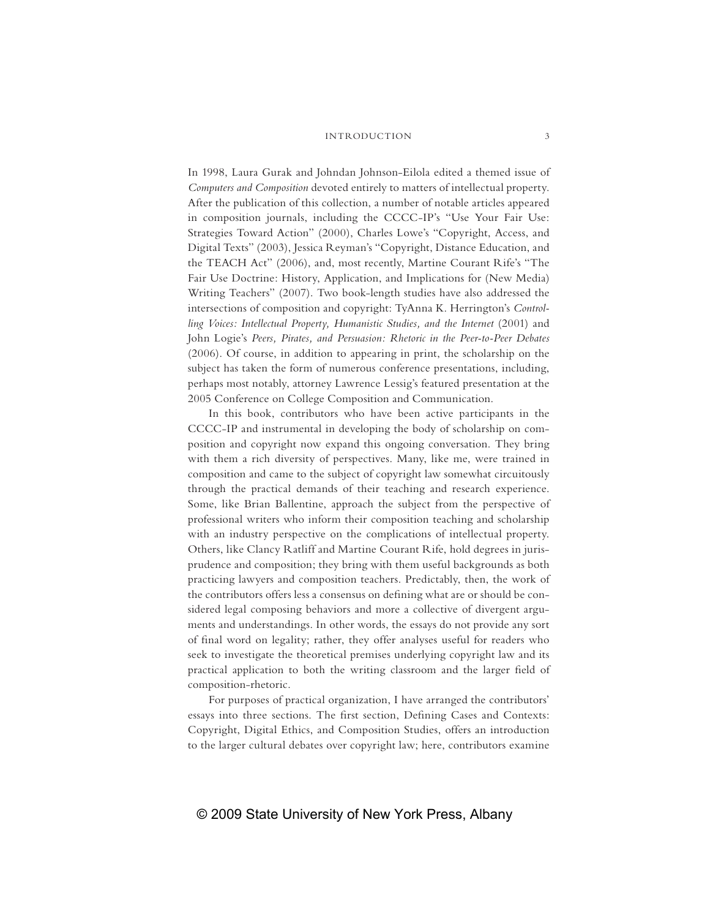#### INTRODUCTION 3

In 1998, Laura Gurak and Johndan Johnson-Eilola edited a themed issue of *Computers and Composition* devoted entirely to matters of intellectual property. After the publication of this collection, a number of notable articles appeared in composition journals, including the CCCC-IP's "Use Your Fair Use: Strategies Toward Action" (2000), Charles Lowe's "Copyright, Access, and Digital Texts" (2003), Jessica Reyman's "Copyright, Distance Education, and the TEACH Act" (2006), and, most recently, Martine Courant Rife's "The Fair Use Doctrine: History, Application, and Implications for (New Media) Writing Teachers" (2007). Two book-length studies have also addressed the intersections of composition and copyright: TyAnna K. Herrington's *Controlling Voices: Intellectual Property, Humanistic Studies, and the Internet* (2001) and John Logie's *Peers, Pirates, and Persuasion: Rhetoric in the Peer-to-Peer Debates* (2006). Of course, in addition to appearing in print, the scholarship on the subject has taken the form of numerous conference presentations, including, perhaps most notably, attorney Lawrence Lessig's featured presentation at the 2005 Conference on College Composition and Communication.

In this book, contributors who have been active participants in the CCCC-IP and instrumental in developing the body of scholarship on composition and copyright now expand this ongoing conversation. They bring with them a rich diversity of perspectives. Many, like me, were trained in composition and came to the subject of copyright law somewhat circuitously through the practical demands of their teaching and research experience. Some, like Brian Ballentine, approach the subject from the perspective of professional writers who inform their composition teaching and scholarship with an industry perspective on the complications of intellectual property. Others, like Clancy Ratliff and Martine Courant Rife, hold degrees in jurisprudence and composition; they bring with them useful backgrounds as both practicing lawyers and composition teachers. Predictably, then, the work of the contributors offers less a consensus on defining what are or should be considered legal composing behaviors and more a collective of divergent arguments and understandings. In other words, the essays do not provide any sort of final word on legality; rather, they offer analyses useful for readers who seek to investigate the theoretical premises underlying copyright law and its practical application to both the writing classroom and the larger field of composition-rhetoric.

For purposes of practical organization, I have arranged the contributors' essays into three sections. The first section, Defining Cases and Contexts: Copyright, Digital Ethics, and Composition Studies, offers an introduction to the larger cultural debates over copyright law; here, contributors examine

# © 2009 State University of New York Press, Albany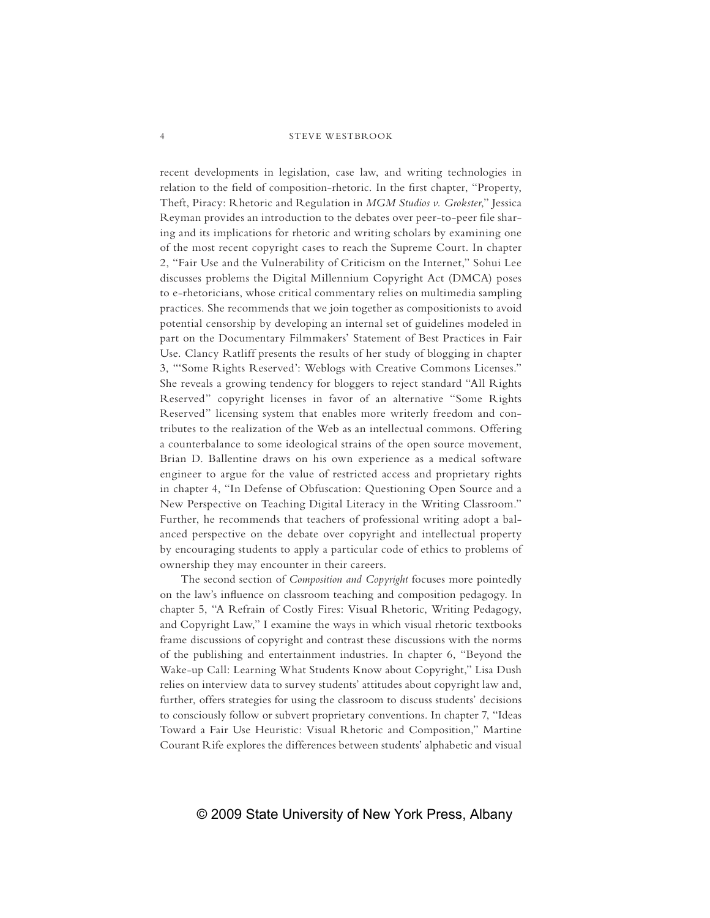#### 4 STEVE WESTBROOK

recent developments in legislation, case law, and writing technologies in relation to the field of composition-rhetoric. In the first chapter, "Property, Theft, Piracy: Rhetoric and Regulation in *MGM Studios v. Grokster*," Jessica Reyman provides an introduction to the debates over peer-to-peer file sharing and its implications for rhetoric and writing scholars by examining one of the most recent copyright cases to reach the Supreme Court. In chapter 2, "Fair Use and the Vulnerability of Criticism on the Internet," Sohui Lee discusses problems the Digital Millennium Copyright Act (DMCA) poses to e-rhetoricians, whose critical commentary relies on multimedia sampling practices. She recommends that we join together as compositionists to avoid potential censorship by developing an internal set of guidelines modeled in part on the Documentary Filmmakers' Statement of Best Practices in Fair Use. Clancy Ratliff presents the results of her study of blogging in chapter 3, "'Some Rights Reserved': Weblogs with Creative Commons Licenses." She reveals a growing tendency for bloggers to reject standard "All Rights Reserved" copyright licenses in favor of an alternative "Some Rights Reserved" licensing system that enables more writerly freedom and contributes to the realization of the Web as an intellectual commons. Offering a counterbalance to some ideological strains of the open source movement, Brian D. Ballentine draws on his own experience as a medical software engineer to argue for the value of restricted access and proprietary rights in chapter 4, "In Defense of Obfuscation: Questioning Open Source and a New Perspective on Teaching Digital Literacy in the Writing Classroom." Further, he recommends that teachers of professional writing adopt a balanced perspective on the debate over copyright and intellectual property by encouraging students to apply a particular code of ethics to problems of ownership they may encounter in their careers.

The second section of *Composition and Copyright* focuses more pointedly on the law's influence on classroom teaching and composition pedagogy. In chapter 5, "A Refrain of Costly Fires: Visual Rhetoric, Writing Pedagogy, and Copyright Law," I examine the ways in which visual rhetoric textbooks frame discussions of copyright and contrast these discussions with the norms of the publishing and entertainment industries. In chapter 6, "Beyond the Wake-up Call: Learning What Students Know about Copyright," Lisa Dush relies on interview data to survey students' attitudes about copyright law and, further, offers strategies for using the classroom to discuss students' decisions to consciously follow or subvert proprietary conventions. In chapter 7, "Ideas Toward a Fair Use Heuristic: Visual Rhetoric and Composition," Martine Courant Rife explores the differences between students' alphabetic and visual